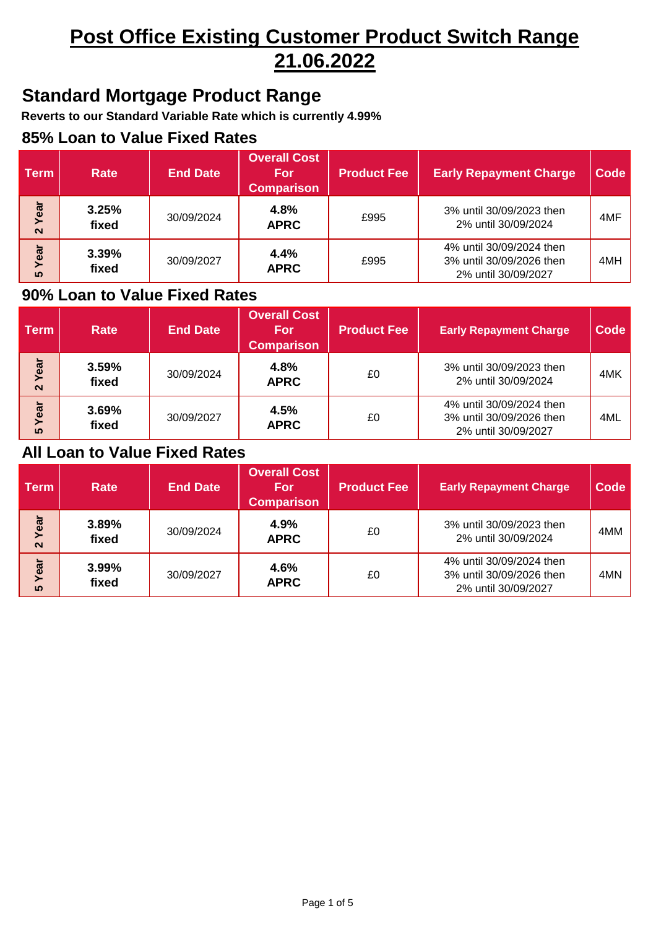# **Post Office Existing Customer Product Switch Range 21.06.2022**

### **Standard Mortgage Product Range**

**Reverts to our Standard Variable Rate which is currently 4.99%**

#### **85% Loan to Value Fixed Rates**

| <b>Term</b>              | <b>Rate</b>    | <b>End Date</b> | <b>Overall Cost</b><br><b>For</b><br><b>Comparison</b> | <b>Product Fee</b> | <b>Early Repayment Charge</b>                                               | <b>Code</b> |
|--------------------------|----------------|-----------------|--------------------------------------------------------|--------------------|-----------------------------------------------------------------------------|-------------|
| ear<br>$\mathbf{\Omega}$ | 3.25%<br>fixed | 30/09/2024      | 4.8%<br><b>APRC</b>                                    | £995               | 3% until 30/09/2023 then<br>2% until 30/09/2024                             | 4MF         |
| Year<br><b>50</b>        | 3.39%<br>fixed | 30/09/2027      | 4.4%<br><b>APRC</b>                                    | £995               | 4% until 30/09/2024 then<br>3% until 30/09/2026 then<br>2% until 30/09/2027 | 4MH         |

### **90% Loan to Value Fixed Rates**

| <b>Term</b>               | <b>Rate</b>    | <b>End Date</b> | <b>Overall Cost</b><br>For<br><b>Comparison</b> | <b>Product Fee</b> | <b>Early Repayment Charge</b>                                               | Code |
|---------------------------|----------------|-----------------|-------------------------------------------------|--------------------|-----------------------------------------------------------------------------|------|
| Year<br>$\mathbf{\Omega}$ | 3.59%<br>fixed | 30/09/2024      | 4.8%<br><b>APRC</b>                             | £0                 | 3% until 30/09/2023 then<br>2% until 30/09/2024                             | 4MK  |
| Year<br><b>50</b>         | 3.69%<br>fixed | 30/09/2027      | 4.5%<br><b>APRC</b>                             | £0                 | 4% until 30/09/2024 then<br>3% until 30/09/2026 then<br>2% until 30/09/2027 | 4ML  |

| <b>Term</b>               | <b>Rate</b>    | <b>End Date</b> | <b>Overall Cost</b><br><b>For</b><br><b>Comparison</b> | <b>Product Fee</b> | <b>Early Repayment Charge</b>                                               | <b>Code</b> |
|---------------------------|----------------|-----------------|--------------------------------------------------------|--------------------|-----------------------------------------------------------------------------|-------------|
| Year<br>$\mathbf{\Omega}$ | 3.89%<br>fixed | 30/09/2024      | 4.9%<br><b>APRC</b>                                    | £0                 | 3% until 30/09/2023 then<br>2% until 30/09/2024                             | 4MM         |
| Year<br><b>50</b>         | 3.99%<br>fixed | 30/09/2027      | 4.6%<br><b>APRC</b>                                    | £0                 | 4% until 30/09/2024 then<br>3% until 30/09/2026 then<br>2% until 30/09/2027 | 4MN         |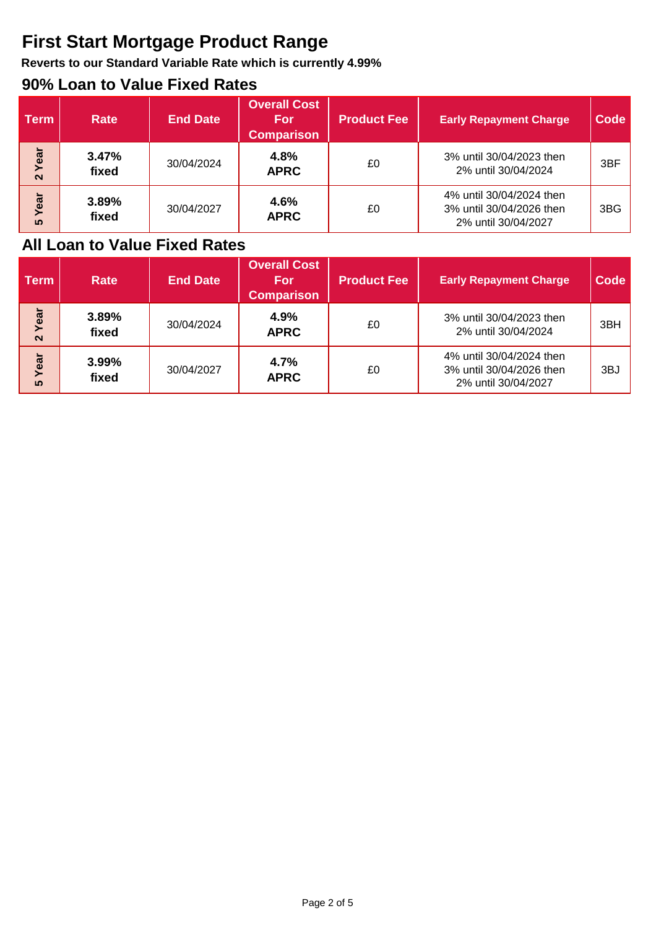## **First Start Mortgage Product Range**

**Reverts to our Standard Variable Rate which is currently 4.99%**

### **90% Loan to Value Fixed Rates**

| <b>Term</b>               | Rate           | <b>End Date</b> | <b>Overall Cost</b><br><b>For</b><br><b>Comparison</b> | <b>Product Fee</b> | <b>Early Repayment Charge</b>                                               | <b>Code</b>     |
|---------------------------|----------------|-----------------|--------------------------------------------------------|--------------------|-----------------------------------------------------------------------------|-----------------|
| Year<br>$\mathbf{\Omega}$ | 3.47%<br>fixed | 30/04/2024      | 4.8%<br><b>APRC</b>                                    | £0                 | 3% until 30/04/2023 then<br>2% until 30/04/2024                             | 3 <sub>BF</sub> |
| Year<br>ທ                 | 3.89%<br>fixed | 30/04/2027      | 4.6%<br><b>APRC</b>                                    | £0                 | 4% until 30/04/2024 then<br>3% until 30/04/2026 then<br>2% until 30/04/2027 | 3BG             |

| <b>Term</b>               | <b>Rate</b>    | <b>End Date</b> | <b>Overall Cost</b><br><b>For</b><br><b>Comparison</b> | <b>Product Fee</b> | <b>Early Repayment Charge</b>                                               | <b>Code</b> |
|---------------------------|----------------|-----------------|--------------------------------------------------------|--------------------|-----------------------------------------------------------------------------|-------------|
| Year<br>$\mathbf{\Omega}$ | 3.89%<br>fixed | 30/04/2024      | 4.9%<br><b>APRC</b>                                    | £0                 | 3% until 30/04/2023 then<br>2% until 30/04/2024                             | 3BH         |
| Year<br><b>50</b>         | 3.99%<br>fixed | 30/04/2027      | 4.7%<br><b>APRC</b>                                    | £0                 | 4% until 30/04/2024 then<br>3% until 30/04/2026 then<br>2% until 30/04/2027 | 3BJ         |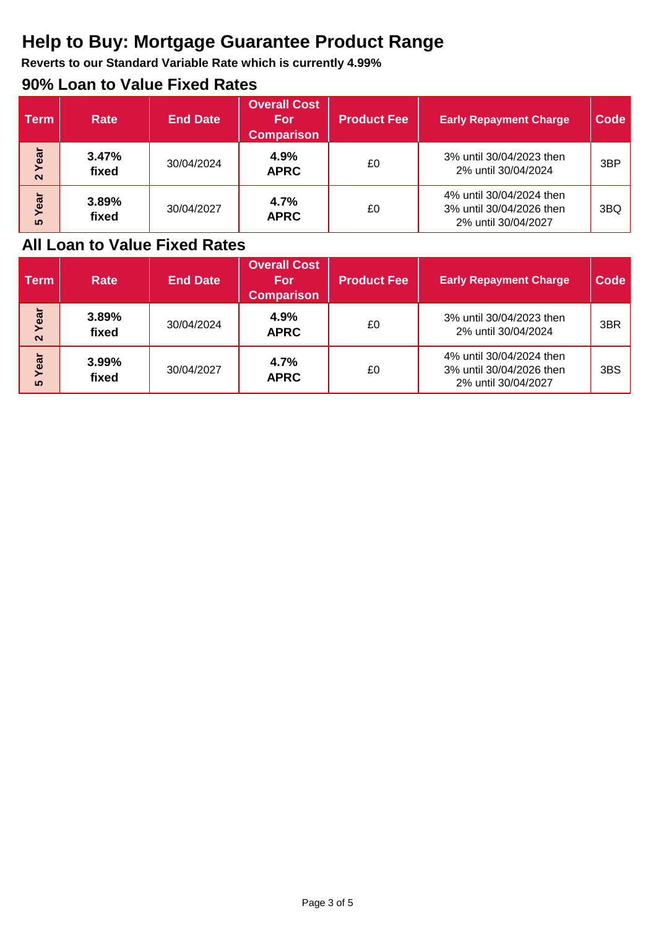## **Help to Buy: Mortgage Guarantee Product Range**

**Reverts to our Standard Variable Rate which is currently 4.99%**

### **90% Loan to Value Fixed Rates**

| <b>Term</b>               | <b>Rate</b>    | <b>End Date</b> | <b>Overall Cost</b><br><b>For</b><br><b>Comparison</b> | <b>Product Fee</b> | <b>Early Repayment Charge</b>                                               | Code |
|---------------------------|----------------|-----------------|--------------------------------------------------------|--------------------|-----------------------------------------------------------------------------|------|
| Year<br>$\mathbf{\Omega}$ | 3.47%<br>fixed | 30/04/2024      | 4.9%<br><b>APRC</b>                                    | £0                 | 3% until 30/04/2023 then<br>2% until 30/04/2024                             | 3BP  |
| Year<br>ഗ                 | 3.89%<br>fixed | 30/04/2027      | 4.7%<br><b>APRC</b>                                    | £0                 | 4% until 30/04/2024 then<br>3% until 30/04/2026 then<br>2% until 30/04/2027 | 3BQ  |

| <b>Term</b>               | <b>Rate</b>    | <b>End Date</b> | <b>Overall Cost</b><br><b>For</b><br><b>Comparison</b> | <b>Product Fee</b> | <b>Early Repayment Charge</b>                                               | <b>Code</b> |
|---------------------------|----------------|-----------------|--------------------------------------------------------|--------------------|-----------------------------------------------------------------------------|-------------|
| Year<br>$\mathbf{\Omega}$ | 3.89%<br>fixed | 30/04/2024      | 4.9%<br><b>APRC</b>                                    | £0                 | 3% until 30/04/2023 then<br>2% until 30/04/2024                             | 3BR         |
| Year<br><u> ທ</u>         | 3.99%<br>fixed | 30/04/2027      | 4.7%<br><b>APRC</b>                                    | £0                 | 4% until 30/04/2024 then<br>3% until 30/04/2026 then<br>2% until 30/04/2027 | 3BS         |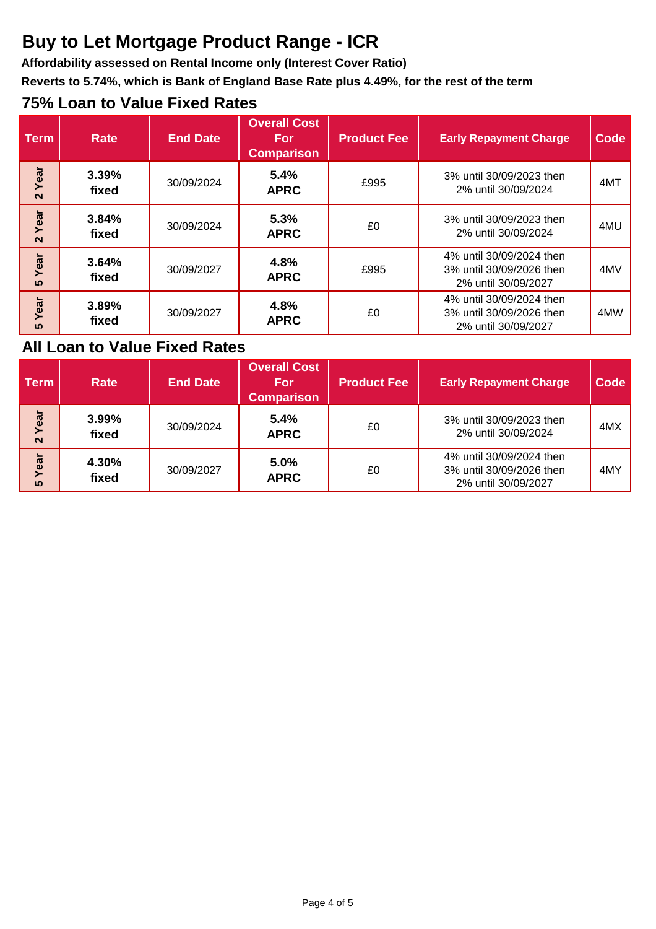## **Buy to Let Mortgage Product Range - ICR**

**Affordability assessed on Rental Income only (Interest Cover Ratio)**

**Reverts to 5.74%, which is Bank of England Base Rate plus 4.49%, for the rest of the term**

### **75% Loan to Value Fixed Rates**

| <b>Term</b>               | <b>Rate</b>    | <b>End Date</b> | <b>Overall Cost</b><br><b>For</b><br><b>Comparison</b> | <b>Product Fee</b> | <b>Early Repayment Charge</b>                                               | <b>Code</b> |
|---------------------------|----------------|-----------------|--------------------------------------------------------|--------------------|-----------------------------------------------------------------------------|-------------|
| Year<br>$\mathbf{\Omega}$ | 3.39%<br>fixed | 30/09/2024      | 5.4%<br><b>APRC</b>                                    | £995               | 3% until 30/09/2023 then<br>2% until 30/09/2024                             | 4MT         |
| Year<br>$\mathbf{\Omega}$ | 3.84%<br>fixed | 30/09/2024      | 5.3%<br><b>APRC</b>                                    | £0                 | 3% until 30/09/2023 then<br>2% until 30/09/2024                             | 4MU         |
| Year<br>ທ                 | 3.64%<br>fixed | 30/09/2027      | 4.8%<br><b>APRC</b>                                    | £995               | 4% until 30/09/2024 then<br>3% until 30/09/2026 then<br>2% until 30/09/2027 | 4MV         |
| Year<br>ທ                 | 3.89%<br>fixed | 30/09/2027      | 4.8%<br><b>APRC</b>                                    | £0                 | 4% until 30/09/2024 then<br>3% until 30/09/2026 then<br>2% until 30/09/2027 | 4MW         |

| <b>Term</b>       | <b>Rate</b>    | <b>End Date</b> | <b>Overall Cost</b><br>For<br><b>Comparison</b> | <b>Product Fee</b> | <b>Early Repayment Charge</b>                                               | Code |
|-------------------|----------------|-----------------|-------------------------------------------------|--------------------|-----------------------------------------------------------------------------|------|
| Year<br>$\sim$    | 3.99%<br>fixed | 30/09/2024      | 5.4%<br><b>APRC</b>                             | £0                 | 3% until 30/09/2023 then<br>2% until 30/09/2024                             | 4MX  |
| Year<br><b>40</b> | 4.30%<br>fixed | 30/09/2027      | 5.0%<br><b>APRC</b>                             | £0                 | 4% until 30/09/2024 then<br>3% until 30/09/2026 then<br>2% until 30/09/2027 | 4MY  |